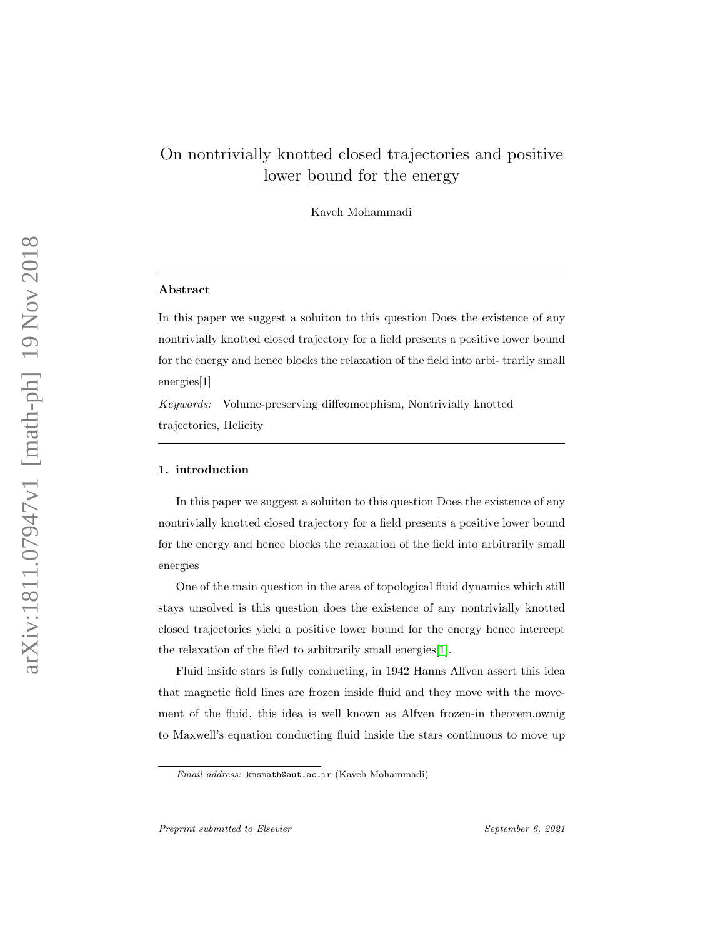# On nontrivially knotted closed trajectories and positive lower bound for the energy

Kaveh Mohammadi

### Abstract

In this paper we suggest a soluiton to this question Does the existence of any nontrivially knotted closed trajectory for a field presents a positive lower bound for the energy and hence blocks the relaxation of the field into arbi- trarily small energies[1]

Keywords: Volume-preserving diffeomorphism, Nontrivially knotted trajectories, Helicity

## 1. introduction

In this paper we suggest a soluiton to this question Does the existence of any nontrivially knotted closed trajectory for a field presents a positive lower bound for the energy and hence blocks the relaxation of the field into arbitrarily small energies

One of the main question in the area of topological fluid dynamics which still stays unsolved is this question does the existence of any nontrivially knotted closed trajectories yield a positive lower bound for the energy hence intercept the relaxation of the filed to arbitrarily small energies[\[1\]](#page-4-0).

Fluid inside stars is fully conducting, in 1942 Hanns Alfven assert this idea that magnetic field lines are frozen inside fluid and they move with the movement of the fluid, this idea is well known as Alfven frozen-in theorem.ownig to Maxwell's equation conducting fluid inside the stars continuous to move up

Email address: kmsmath@aut.ac.ir (Kaveh Mohammadi)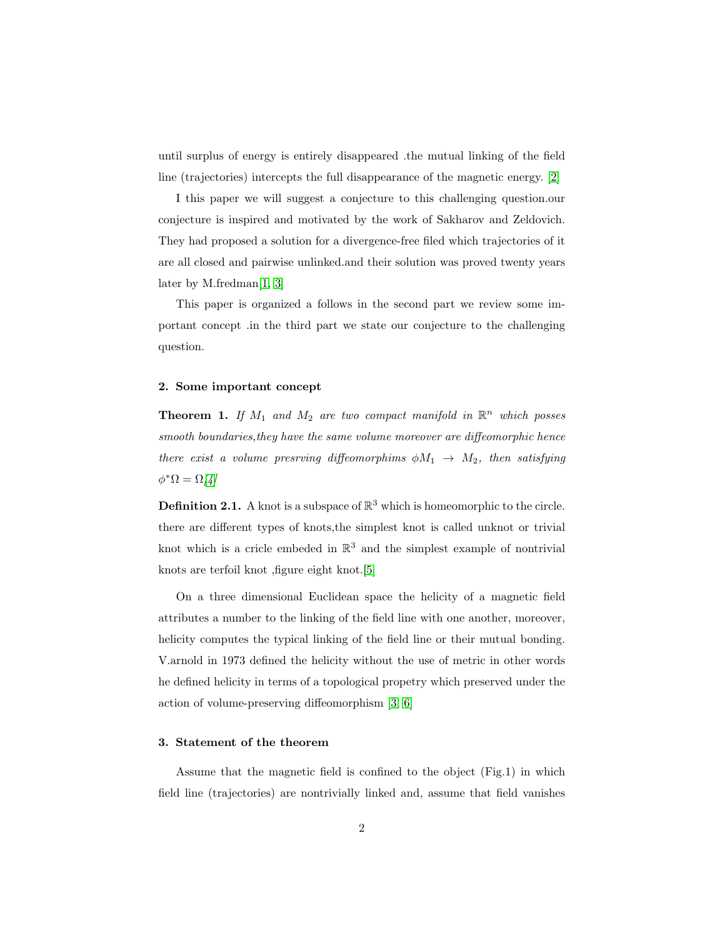until surplus of energy is entirely disappeared .the mutual linking of the field line (trajectories) intercepts the full disappearance of the magnetic energy. [\[2\]](#page-4-1)

I this paper we will suggest a conjecture to this challenging question.our conjecture is inspired and motivated by the work of Sakharov and Zeldovich. They had proposed a solution for a divergence-free filed which trajectories of it are all closed and pairwise unlinked.and their solution was proved twenty years later by M.fredman[\[1,](#page-4-0) [3\]](#page-4-2)

This paper is organized a follows in the second part we review some important concept .in the third part we state our conjecture to the challenging question.

#### 2. Some important concept

**Theorem 1.** If  $M_1$  and  $M_2$  are two compact manifold in  $\mathbb{R}^n$  which posses smooth boundaries, they have the same volume moreover are diffeomorphic hence there exist a volume presrving diffeomorphims  $\phi M_1 \rightarrow M_2$ , then satisfying  $\phi^*\Omega = \Omega/4$ 

**Definition 2.1.** A knot is a subspace of  $\mathbb{R}^3$  which is homeomorphic to the circle. there are different types of knots,the simplest knot is called unknot or trivial knot which is a cricle embeded in  $\mathbb{R}^3$  and the simplest example of nontrivial knots are terfoil knot ,figure eight knot.[\[5\]](#page-5-1)

On a three dimensional Euclidean space the helicity of a magnetic field attributes a number to the linking of the field line with one another, moreover, helicity computes the typical linking of the field line or their mutual bonding. V.arnold in 1973 defined the helicity without the use of metric in other words he defined helicity in terms of a topological propetry which preserved under the action of volume-preserving diffeomorphism [\[3,](#page-4-2) [6\]](#page-5-2)

# 3. Statement of the theorem

Assume that the magnetic field is confined to the object (Fig.1) in which field line (trajectories) are nontrivially linked and, assume that field vanishes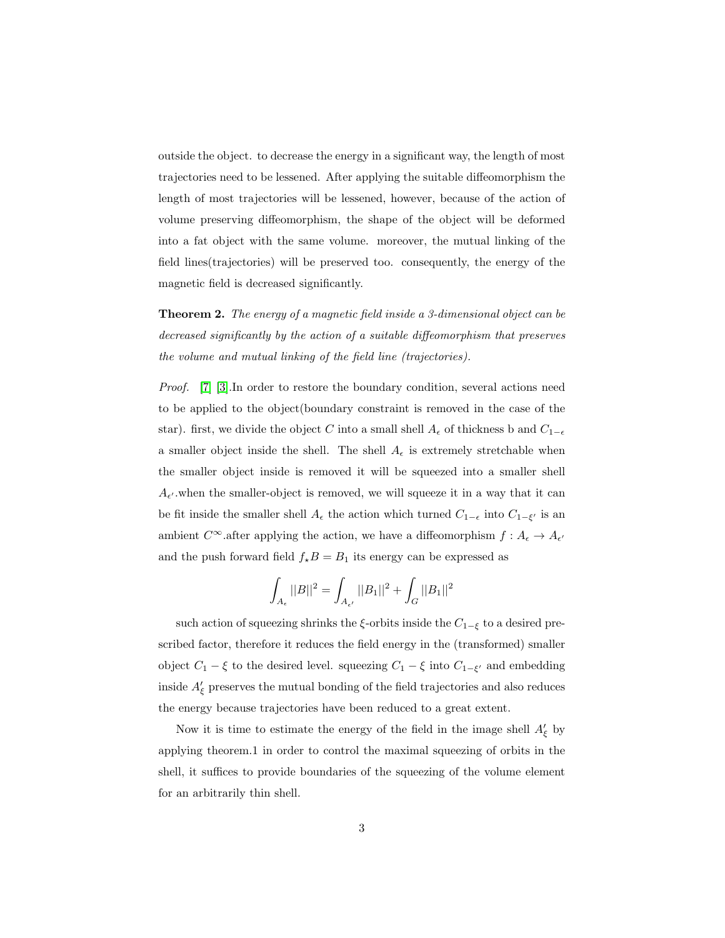outside the object. to decrease the energy in a significant way, the length of most trajectories need to be lessened. After applying the suitable diffeomorphism the length of most trajectories will be lessened, however, because of the action of volume preserving diffeomorphism, the shape of the object will be deformed into a fat object with the same volume. moreover, the mutual linking of the field lines(trajectories) will be preserved too. consequently, the energy of the magnetic field is decreased significantly.

Theorem 2. The energy of a magnetic field inside a 3-dimensional object can be decreased significantly by the action of a suitable diffeomorphism that preserves the volume and mutual linking of the field line (trajectories).

Proof. [\[7\]](#page-5-3) [\[3\]](#page-4-2).In order to restore the boundary condition, several actions need to be applied to the object(boundary constraint is removed in the case of the star). first, we divide the object C into a small shell  $A_{\epsilon}$  of thickness b and  $C_{1-\epsilon}$ a smaller object inside the shell. The shell  $A_{\epsilon}$  is extremely stretchable when the smaller object inside is removed it will be squeezed into a smaller shell  $A_{\epsilon'}$  when the smaller-object is removed, we will squeeze it in a way that it can be fit inside the smaller shell  $A_{\epsilon}$  the action which turned  $C_{1-\epsilon}$  into  $C_{1-\xi'}$  is an ambient  $C^{\infty}$  after applying the action, we have a diffeomorphism  $f: A_{\epsilon} \to A_{\epsilon'}$ and the push forward field  $f_*B = B_1$  its energy can be expressed as

$$
\int_{A_{\epsilon}} ||B||^2 = \int_{A_{\epsilon'}} ||B_1||^2 + \int_G ||B_1||^2
$$

such action of squeezing shrinks the  $\xi$ -orbits inside the  $C_{1-\xi}$  to a desired prescribed factor, therefore it reduces the field energy in the (transformed) smaller object  $C_1 - \xi$  to the desired level. squeezing  $C_1 - \xi$  into  $C_{1-\xi'}$  and embedding inside  $A'_{\xi}$  preserves the mutual bonding of the field trajectories and also reduces the energy because trajectories have been reduced to a great extent.

Now it is time to estimate the energy of the field in the image shell  $A'_\xi$  by applying theorem.1 in order to control the maximal squeezing of orbits in the shell, it suffices to provide boundaries of the squeezing of the volume element for an arbitrarily thin shell.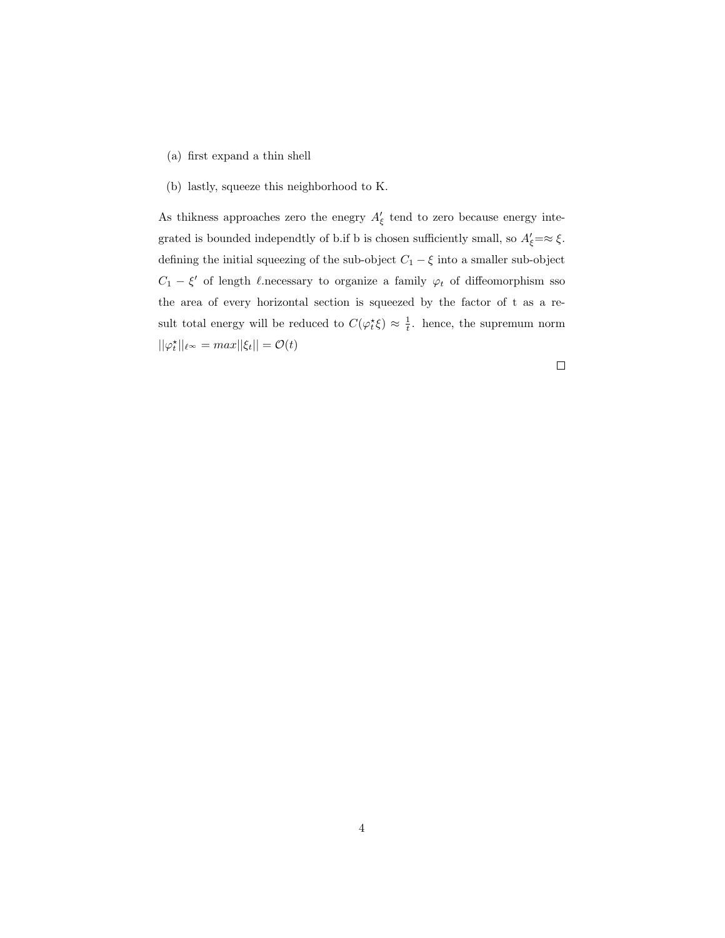- (a) first expand a thin shell
- (b) lastly, squeeze this neighborhood to K.

As thikness approaches zero the enegry  $A'_{\xi}$  tend to zero because energy integrated is bounded independtly of b.if b is chosen sufficiently small, so  $A'_\xi = \approx \xi$ . defining the initial squeezing of the sub-object  $C_1-\xi$  into a smaller sub-object  $C_1 - \xi'$  of length  $\ell$ .necessary to organize a family  $\varphi_t$  of diffeomorphism sso the area of every horizontal section is squeezed by the factor of t as a result total energy will be reduced to  $C(\varphi_t^*\xi) \approx \frac{1}{t}$ . hence, the supremum norm  $||\varphi_t^{\star}||_{\ell^{\infty}} = max||\xi_t|| = \mathcal{O}(t)$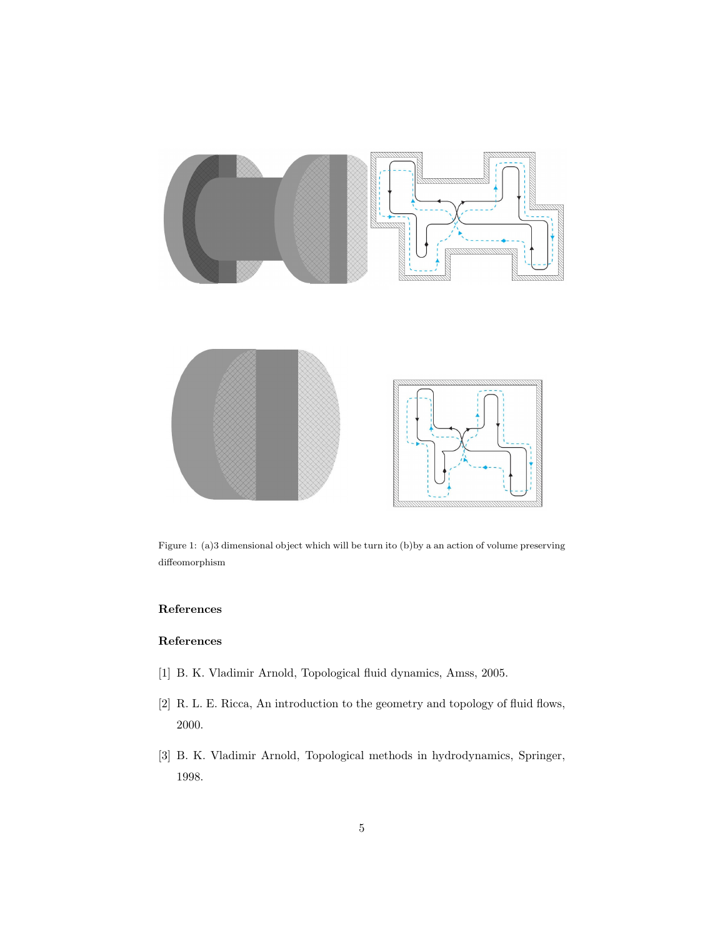

Figure 1: (a)3 dimensional object which will be turn ito (b)by a an action of volume preserving diffeomorphism

## References

# References

- <span id="page-4-0"></span>[1] B. K. Vladimir Arnold, Topological fluid dynamics, Amss, 2005.
- <span id="page-4-1"></span>[2] R. L. E. Ricca, An introduction to the geometry and topology of fluid flows, 2000.
- <span id="page-4-2"></span>[3] B. K. Vladimir Arnold, Topological methods in hydrodynamics, Springer, 1998.